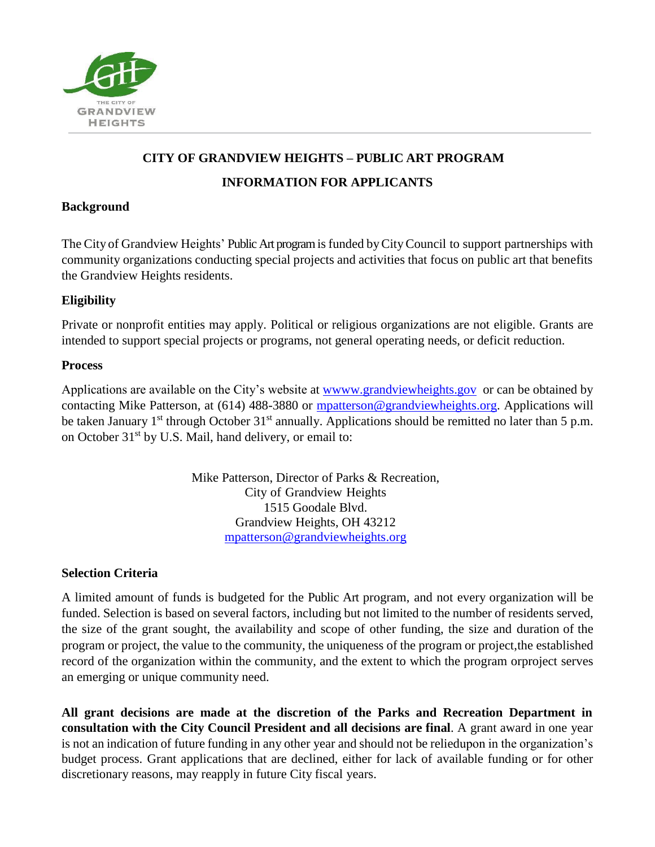

## **CITY OF GRANDVIEW HEIGHTS – PUBLIC ART PROGRAM**

### **INFORMATION FOR APPLICANTS**

### **Background**

The City of Grandview Heights' Public Art programis funded byCityCouncil to support partnerships with community organizations conducting special projects and activities that focus on public art that benefits the Grandview Heights residents.

## **Eligibility**

Private or nonprofit entities may apply. Political or religious organizations are not eligible. Grants are intended to support special projects or programs, not general operating needs, or deficit reduction.

### **Process**

Applications are available on the City's website at [wwww.grandviewheights.gov](https://wwww.grandviewheights.gov/) or can be obtained by contacting Mike Patterson, at (614) 488-3880 or [mpatterson@grandviewheights.org.](mailto:mpatterson@grandviewheights.org) Applications will be taken January 1<sup>st</sup> through October  $31<sup>st</sup>$  annually. Applications should be remitted no later than 5 p.m. on October 31<sup>st</sup> by U.S. Mail, hand delivery, or email to:

> Mike Patterson, Director of Parks & Recreation, City of Grandview Heights 1515 Goodale Blvd. Grandview Heights, OH 43212 [mpatterson@grandviewheights.org](mailto:mpatterson@grandviewheights.org)

# **Selection Criteria**

A limited amount of funds is budgeted for the Public Art program, and not every organization will be funded. Selection is based on several factors, including but not limited to the number of residents served, the size of the grant sought, the availability and scope of other funding, the size and duration of the program or project, the value to the community, the uniqueness of the program or project,the established record of the organization within the community, and the extent to which the program orproject serves an emerging or unique community need.

**All grant decisions are made at the discretion of the Parks and Recreation Department in consultation with the City Council President and all decisions are final**. A grant award in one year is not an indication of future funding in any other year and should not be reliedupon in the organization's budget process. Grant applications that are declined, either for lack of available funding or for other discretionary reasons, may reapply in future City fiscal years.